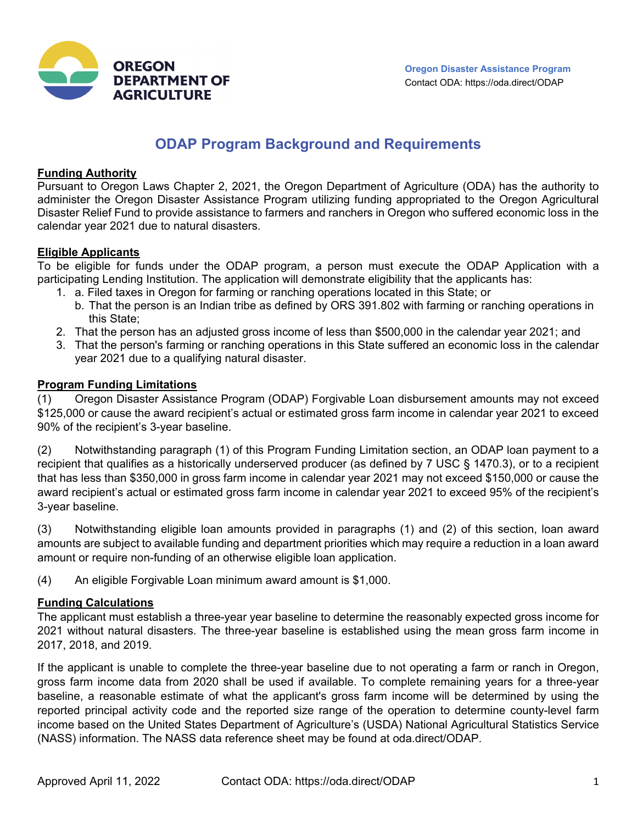



# **ODAP Program Background and Requirements**

#### **Funding Authority**

Pursuant to Oregon Laws Chapter 2, 2021, the Oregon Department of Agriculture (ODA) has the authority to administer the Oregon Disaster Assistance Program utilizing funding appropriated to the Oregon Agricultural Disaster Relief Fund to provide assistance to farmers and ranchers in Oregon who suffered economic loss in the calendar year 2021 due to natural disasters.

#### **Eligible Applicants**

To be eligible for funds under the ODAP program, a person must execute the ODAP Application with a participating Lending Institution. The application will demonstrate eligibility that the applicants has:

- 1. a. Filed taxes in Oregon for farming or ranching operations located in this State; or
	- b. That the person is an Indian tribe as defined by ORS 391.802 with farming or ranching operations in this State;
- 2. That the person has an adjusted gross income of less than \$500,000 in the calendar year 2021; and
- 3. That the person's farming or ranching operations in this State suffered an economic loss in the calendar year 2021 due to a qualifying natural disaster.

#### **Program Funding Limitations**

(1) Oregon Disaster Assistance Program (ODAP) Forgivable Loan disbursement amounts may not exceed \$125,000 or cause the award recipient's actual or estimated gross farm income in calendar year 2021 to exceed 90% of the recipient's 3-year baseline.

(2) Notwithstanding paragraph (1) of this Program Funding Limitation section, an ODAP loan payment to a recipient that qualifies as a historically underserved producer (as defined by 7 USC § 1470.3), or to a recipient that has less than \$350,000 in gross farm income in calendar year 2021 may not exceed \$150,000 or cause the award recipient's actual or estimated gross farm income in calendar year 2021 to exceed 95% of the recipient's 3-year baseline.

(3) Notwithstanding eligible loan amounts provided in paragraphs (1) and (2) of this section, loan award amounts are subject to available funding and department priorities which may require a reduction in a loan award amount or require non-funding of an otherwise eligible loan application.

(4) An eligible Forgivable Loan minimum award amount is \$1,000.

## **Funding Calculations**

The applicant must establish a three-year year baseline to determine the reasonably expected gross income for 2021 without natural disasters. The three-year baseline is established using the mean gross farm income in 2017, 2018, and 2019.

If the applicant is unable to complete the three-year baseline due to not operating a farm or ranch in Oregon, gross farm income data from 2020 shall be used if available. To complete remaining years for a three-year baseline, a reasonable estimate of what the applicant's gross farm income will be determined by using the reported principal activity code and the reported size range of the operation to determine county-level farm income based on the United States Department of Agriculture's (USDA) National Agricultural Statistics Service (NASS) information. The NASS data reference sheet may be found at oda.direct/ODAP.